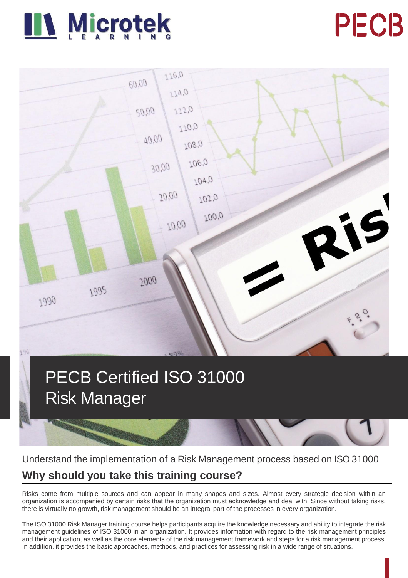





# PECB Certified ISO 31000 Risk Manager



# Understand the implementation of a Risk Management process based on ISO 31000

# **Why should you take this training course?**

Risks come from multiple sources and can appear in many shapes and sizes. Almost every strategic decision within an organization is accompanied by certain risks that the organization must acknowledge and deal with. Since without taking risks, there is virtually no growth, risk management should be an integral part of the processes in every organization.

The ISO 31000 Risk Manager training course helps participants acquire the knowledge necessary and ability to integrate the risk management guidelines of ISO 31000 in an organization. It provides information with regard to the risk management principles and their application, as well as the core elements of the risk management framework and steps for a risk management process. In addition, it provides the basic approaches, methods, and practices for assessing risk in a wide range of situations.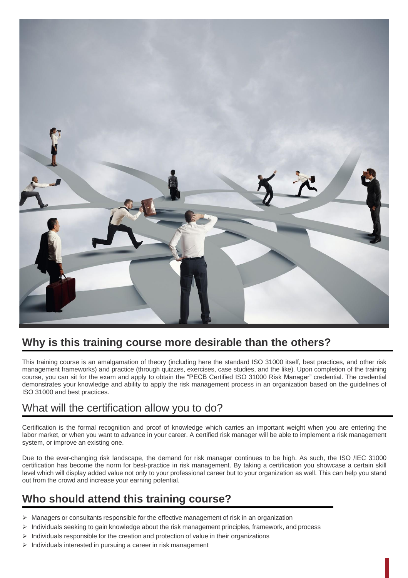

# **Why is this training course more desirable than the others?**

This training course is an amalgamation of theory (including here the standard ISO 31000 itself, best practices, and other risk management frameworks) and practice (through quizzes, exercises, case studies, and the like). Upon completion of the training course, you can sit for the exam and apply to obtain the "PECB Certified ISO 31000 Risk Manager" credential. The credential demonstrates your knowledge and ability to apply the risk management process in an organization based on the guidelines of ISO 31000 and best practices.

# What will the certification allow you to do?

Certification is the formal recognition and proof of knowledge which carries an important weight when you are entering the labor market, or when you want to advance in your career. A certified risk manager will be able to implement a risk management system, or improve an existing one.

Due to the ever-changing risk landscape, the demand for risk manager continues to be high. As such, the ISO /IEC 31000 certification has become the norm for best-practice in risk management. By taking a certification you showcase a certain skill level which will display added value not only to your professional career but to your organization as well. This can help you stand out from the crowd and increase your earning potential.

# **Who should attend this training course?**

- $\triangleright$  Managers or consultants responsible for the effective management of risk in an organization
- $\triangleright$  Individuals seeking to gain knowledge about the risk management principles, framework, and process
- ➢ Individuals responsible for the creation and protection of value in their organizations
- ➢ Individuals interested in pursuing a career in risk management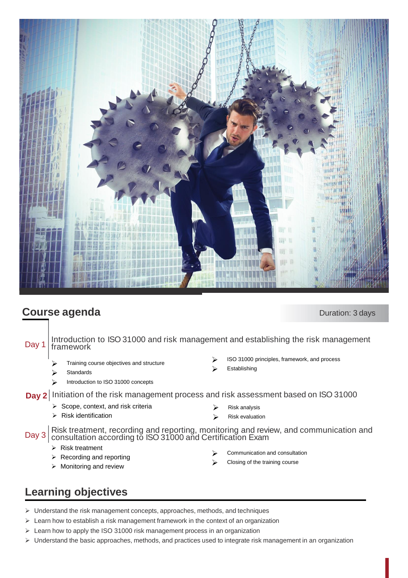

# **Course agenda** Duration: 3 days

Day 1 Introduction to ISO 31000 and risk management and establishing the risk management framework ➢ ISO 31000 principles, framework, and process

- ➢ Training course objectives and structure
- **Standards**
- ➢ Introduction to ISO 31000 concepts

### **Day 2** Initiation of the risk management process and risk assessment based on ISO 31000

- $\triangleright$  Scope, context, and risk criteria
- ➢ Risk identification

➢ Risk analysis

**Establishing** 

➢ Risk evaluation

Day 3 Risk treatment, recording and reporting, monitoring and review, and communication and consultation according to ISO 31000 and Certification Exam

- ➢ Risk treatment
- ➢ Recording and reporting
- ➢ Monitoring and review
- ➢ Communication and consultation
- ➢ Closing of the training course

# **Learning objectives**

- $\triangleright$  Understand the risk management concepts, approaches, methods, and techniques
- $\triangleright$  Learn how to establish a risk management framework in the context of an organization
- ➢ Learn how to apply the ISO 31000 risk management process in an organization
- ➢ Understand the basic approaches, methods, and practices used to integrate risk management in an organization